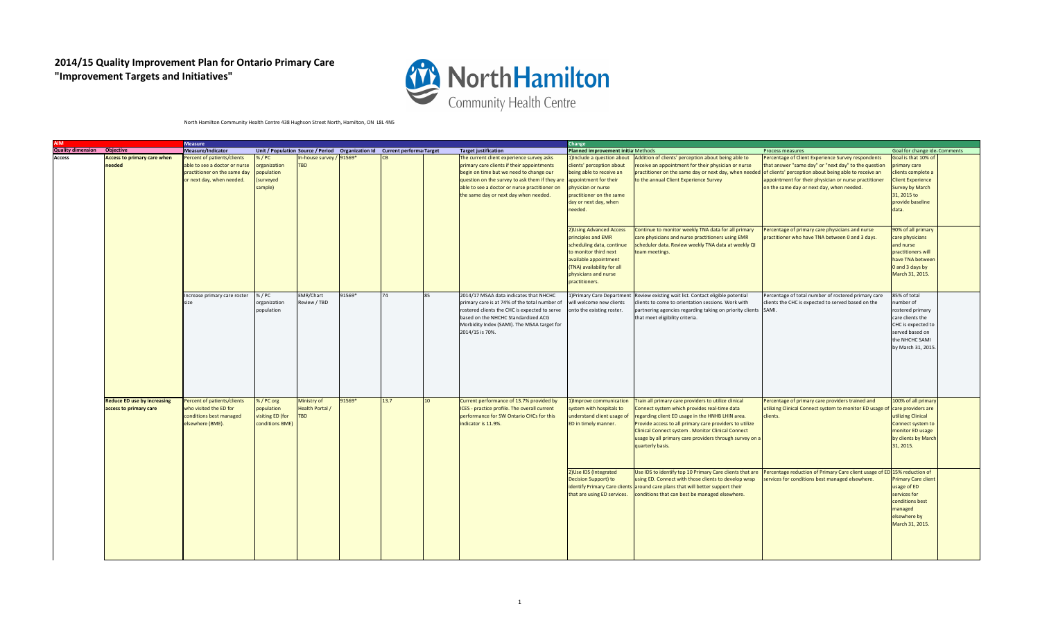## **2014/15 Quality Improvement Plan for Ontario Primary Care "Improvement Targets and Initiatives"**



## North Hamilton Community Health Centre 438 Hughson Street North, Hamilton, ON L8L 4N5

| <b>AIM</b>                  | <b>Measure</b>                     |                               |                  |                                                                             |        |      |    |                                                | Change                             |                                                                                  |                                                                             |                               |  |  |
|-----------------------------|------------------------------------|-------------------------------|------------------|-----------------------------------------------------------------------------|--------|------|----|------------------------------------------------|------------------------------------|----------------------------------------------------------------------------------|-----------------------------------------------------------------------------|-------------------------------|--|--|
| Quality dimension Objective |                                    | Measure/Indicator             |                  | Unit / Population Source / Period  Organization Id  Current performa Target |        |      |    | <b>Target justification</b>                    | Planned improvement initia Methods |                                                                                  | Process measures                                                            | Goal for change ide; Comments |  |  |
| Access                      | <b>Access to primary care when</b> | Percent of patients/clients   | %/PC             | In-house survey                                                             | 91569* |      |    | The current client experience survey asks      | 1)Include a question about         | Addition of clients' perception about being able to                              | Percentage of Client Experience Survey respondents                          | Goal is that 10% of           |  |  |
|                             | needed                             | able to see a doctor or nurse | organization     | <b>TBD</b>                                                                  |        |      |    | primary care clients if their appointments     | clients' perception about          | eceive an appointment for their physician or nurse                               | that answer "same day" or "next day" to the question                        | primary care                  |  |  |
|                             |                                    | practitioner on the same day  | population       |                                                                             |        |      |    | begin on time but we need to change our        | being able to receive an           | practitioner on the same day or next day, when needed                            | of clients' perception about being able to receive an                       | clients complete a            |  |  |
|                             |                                    | or next day, when needed.     | (surveyed        |                                                                             |        |      |    | question on the survey to ask them if they are | appointment for their              | to the annual Client Experience Survey                                           | appointment for their physician or nurse practitioner                       | <b>Client Experience</b>      |  |  |
|                             |                                    |                               | sample)          |                                                                             |        |      |    | able to see a doctor or nurse practitioner on  | physician or nurse                 |                                                                                  | on the same day or next day, when needed.                                   | <b>Survey by March</b>        |  |  |
|                             |                                    |                               |                  |                                                                             |        |      |    | the same day or next day when needed.          | practitioner on the same           |                                                                                  |                                                                             | 31, 2015 to                   |  |  |
|                             |                                    |                               |                  |                                                                             |        |      |    |                                                | day or next day, when              |                                                                                  |                                                                             | provide baseline              |  |  |
|                             |                                    |                               |                  |                                                                             |        |      |    |                                                | needed.                            |                                                                                  |                                                                             | data.                         |  |  |
|                             |                                    |                               |                  |                                                                             |        |      |    |                                                |                                    |                                                                                  |                                                                             |                               |  |  |
|                             |                                    |                               |                  |                                                                             |        |      |    |                                                |                                    |                                                                                  |                                                                             |                               |  |  |
|                             |                                    |                               |                  |                                                                             |        |      |    |                                                | 2) Using Advanced Access           | Continue to monitor weekly TNA data for all primary                              | Percentage of primary care physicians and nurse                             | 90% of all primary            |  |  |
|                             |                                    |                               |                  |                                                                             |        |      |    |                                                | principles and EMR                 | care physicians and nurse practitioners using EMR                                | practitioner who have TNA between 0 and 3 days.                             | care physicians               |  |  |
|                             |                                    |                               |                  |                                                                             |        |      |    |                                                | scheduling data, continue          | scheduler data. Review weekly TNA data at weekly QI                              |                                                                             | and nurse                     |  |  |
|                             |                                    |                               |                  |                                                                             |        |      |    |                                                | to monitor third next              | team meetings.                                                                   |                                                                             | practitioners will            |  |  |
|                             |                                    |                               |                  |                                                                             |        |      |    |                                                | available appointment              |                                                                                  |                                                                             | have TNA betwee               |  |  |
|                             |                                    |                               |                  |                                                                             |        |      |    |                                                | (TNA) availability for all         |                                                                                  |                                                                             | 0 and 3 days by               |  |  |
|                             |                                    |                               |                  |                                                                             |        |      |    |                                                | physicians and nurse               |                                                                                  |                                                                             | March 31, 2015.               |  |  |
|                             |                                    |                               |                  |                                                                             |        |      |    |                                                | practitioners.                     |                                                                                  |                                                                             |                               |  |  |
|                             |                                    |                               |                  |                                                                             |        |      |    |                                                |                                    |                                                                                  |                                                                             |                               |  |  |
|                             |                                    | Increase primary care roster  | % / PC           | EMR/Chart                                                                   | 91569* | 74   | 85 | 2014/17 MSAA data indicates that NHCHC         |                                    | 1) Primary Care Department Review existing wait list. Contact eligible potential | Percentage of total number of rostered primary care                         | 85% of total                  |  |  |
|                             |                                    | size                          | organization     | Review / TBD                                                                |        |      |    | primary care is at 74% of the total number of  | will welcome new clients           | lients to come to orientation sessions. Work with                                | clients the CHC is expected to served based on the                          | number of                     |  |  |
|                             |                                    |                               | population       |                                                                             |        |      |    | rostered clients the CHC is expected to serve  | onto the existing roster.          | partnering agencies regarding taking on priority clients SAMI.                   |                                                                             | rostered primary              |  |  |
|                             |                                    |                               |                  |                                                                             |        |      |    | based on the NHCHC Standardized ACG            |                                    | that meet eligibility criteria.                                                  |                                                                             | care clients the              |  |  |
|                             |                                    |                               |                  |                                                                             |        |      |    | Morbidity Index (SAMI). The MSAA target for    |                                    |                                                                                  |                                                                             | CHC is expected to            |  |  |
|                             |                                    |                               |                  |                                                                             |        |      |    | 2014/15 is 70%.                                |                                    |                                                                                  |                                                                             | served based on               |  |  |
|                             |                                    |                               |                  |                                                                             |        |      |    |                                                |                                    |                                                                                  |                                                                             | the NHCHC SAMI                |  |  |
|                             |                                    |                               |                  |                                                                             |        |      |    |                                                |                                    |                                                                                  |                                                                             | by March 31, 2015             |  |  |
|                             |                                    |                               |                  |                                                                             |        |      |    |                                                |                                    |                                                                                  |                                                                             |                               |  |  |
|                             |                                    |                               |                  |                                                                             |        |      |    |                                                |                                    |                                                                                  |                                                                             |                               |  |  |
|                             |                                    |                               |                  |                                                                             |        |      |    |                                                |                                    |                                                                                  |                                                                             |                               |  |  |
|                             |                                    |                               |                  |                                                                             |        |      |    |                                                |                                    |                                                                                  |                                                                             |                               |  |  |
|                             |                                    |                               |                  |                                                                             |        |      |    |                                                |                                    |                                                                                  |                                                                             |                               |  |  |
|                             |                                    |                               |                  |                                                                             |        |      |    |                                                |                                    |                                                                                  |                                                                             |                               |  |  |
|                             | <b>Reduce ED use by increasing</b> | Percent of patients/clients   | %/PC org         | Ministry of                                                                 | 91569* | 13.7 | 10 | Current performance of 13.7% provided by       | 1) Improve communication           | Frain all primary care providers to utilize clinical                             | Percentage of primary care providers trained and                            | 100% of all primar            |  |  |
|                             | access to primary care             | who visited the ED for        | population       | <b>Health Portal /</b>                                                      |        |      |    | ICES - practice profile. The overall current   | system with hospitals to           | Connect system which provides real-time data                                     | utilizing Clinical Connect system to monitor ED usage of care providers are |                               |  |  |
|                             |                                    | conditions best managed       | visiting ED (for | <b>TBD</b>                                                                  |        |      |    | performance for SW Ontario CHCs for this       | understand client usage of         | regarding client ED usage in the HNHB LHIN area.                                 | lients.                                                                     | utilizing Clinical            |  |  |
|                             |                                    | elsewhere (BME).              | conditions BME)  |                                                                             |        |      |    | indicator is 11.9%.                            | ED in timely manner.               | Provide access to all primary care providers to utilize                          |                                                                             | Connect system to             |  |  |
|                             |                                    |                               |                  |                                                                             |        |      |    |                                                |                                    | Clinical Connect system . Monitor Clinical Connect                               |                                                                             | monitor ED usage              |  |  |
|                             |                                    |                               |                  |                                                                             |        |      |    |                                                |                                    | usage by all primary care providers through survey on a                          |                                                                             | by clients by March           |  |  |
|                             |                                    |                               |                  |                                                                             |        |      |    |                                                |                                    | quarterly basis.                                                                 |                                                                             | 31, 2015.                     |  |  |
|                             |                                    |                               |                  |                                                                             |        |      |    |                                                |                                    |                                                                                  |                                                                             |                               |  |  |
|                             |                                    |                               |                  |                                                                             |        |      |    |                                                |                                    |                                                                                  |                                                                             |                               |  |  |
|                             |                                    |                               |                  |                                                                             |        |      |    |                                                |                                    |                                                                                  |                                                                             |                               |  |  |
|                             |                                    |                               |                  |                                                                             |        |      |    |                                                | 2) Use IDS (Integrated             | Use IDS to identify top 10 Primary Care clients that are                         | Percentage reduction of Primary Care client usage of ED 15% reduction of    |                               |  |  |
|                             |                                    |                               |                  |                                                                             |        |      |    |                                                | Decision Support) to               | using ED. Connect with those clients to develop wrap                             | services for conditions best managed elsewhere.                             | <b>Primary Care client</b>    |  |  |
|                             |                                    |                               |                  |                                                                             |        |      |    |                                                |                                    | identify Primary Care clients around care plans that will better support their   |                                                                             | usage of ED                   |  |  |
|                             |                                    |                               |                  |                                                                             |        |      |    |                                                | that are using ED services.        | onditions that can best be managed elsewhere.                                    |                                                                             | services for                  |  |  |
|                             |                                    |                               |                  |                                                                             |        |      |    |                                                |                                    |                                                                                  |                                                                             | conditions best               |  |  |
|                             |                                    |                               |                  |                                                                             |        |      |    |                                                |                                    |                                                                                  |                                                                             | managed                       |  |  |
|                             |                                    |                               |                  |                                                                             |        |      |    |                                                |                                    |                                                                                  |                                                                             | elsewhere by                  |  |  |
|                             |                                    |                               |                  |                                                                             |        |      |    |                                                |                                    |                                                                                  |                                                                             | March 31, 2015.               |  |  |
|                             |                                    |                               |                  |                                                                             |        |      |    |                                                |                                    |                                                                                  |                                                                             |                               |  |  |
|                             |                                    |                               |                  |                                                                             |        |      |    |                                                |                                    |                                                                                  |                                                                             |                               |  |  |
|                             |                                    |                               |                  |                                                                             |        |      |    |                                                |                                    |                                                                                  |                                                                             |                               |  |  |
|                             |                                    |                               |                  |                                                                             |        |      |    |                                                |                                    |                                                                                  |                                                                             |                               |  |  |
|                             |                                    |                               |                  |                                                                             |        |      |    |                                                |                                    |                                                                                  |                                                                             |                               |  |  |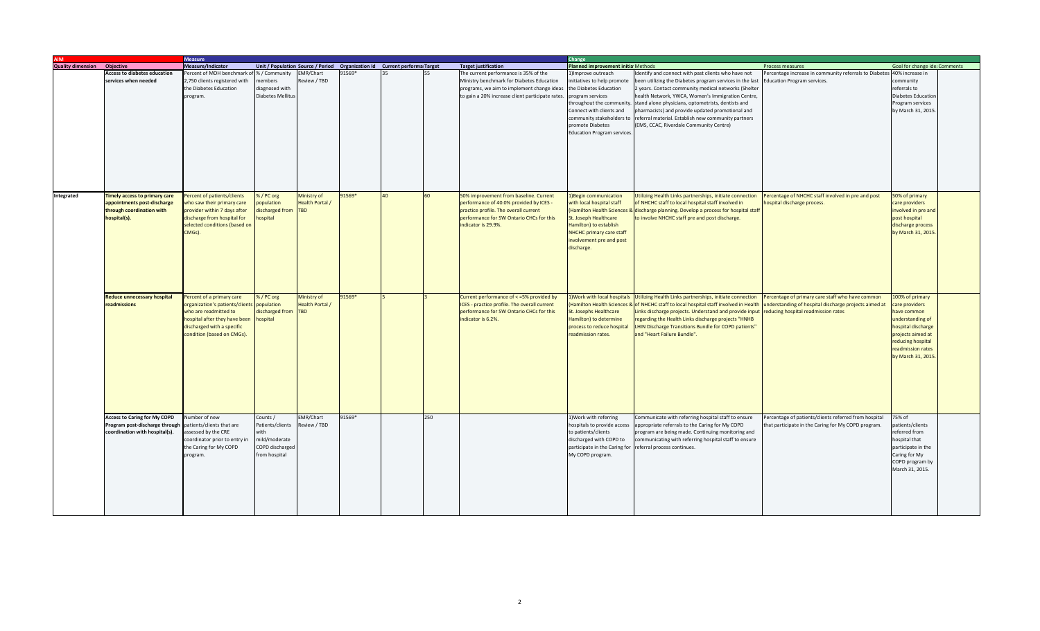|                          |                                     | <b>Measure</b>                             |                     |                        |                                                                             |    |     |                                                  |                                                           | Change                                                                                |                                                       |                               |  |  |
|--------------------------|-------------------------------------|--------------------------------------------|---------------------|------------------------|-----------------------------------------------------------------------------|----|-----|--------------------------------------------------|-----------------------------------------------------------|---------------------------------------------------------------------------------------|-------------------------------------------------------|-------------------------------|--|--|
| <b>Quality dimension</b> | <b>Objective</b>                    | Measure/Indicator                          |                     |                        | Unit / Population Source / Period  Organization Id  Current performa Target |    |     | <b>Target justification</b>                      | Planned improvement initia Methods                        |                                                                                       | Process measures                                      | Goal for change ide; Comments |  |  |
|                          | <b>Access to diabetes education</b> | Percent of MOH benchmark o                 | 6 / Community       | <b>EMR/Chart</b>       | 91569*                                                                      |    |     | The current performance is 35% of the            | l)Improve outreach                                        | Identify and connect with past clients who have not                                   | ercentage increase in community referrals to Diabetes | 40% increase in               |  |  |
|                          | services when needed                | 2,750 clients registered with              | nembers             | Review / TBD           |                                                                             |    |     | Ministry benchmark for Diabetes Education        | initiatives to help promote                               | been utilizing the Diabetes program services in the last                              | ducation Program services.                            | community                     |  |  |
|                          |                                     | the Diabetes Education                     | diagnosed with      |                        |                                                                             |    |     | programs, we aim to implement change ideas       | the Diabetes Education                                    | 2 years. Contact community medical networks (Shelter                                  |                                                       | referrals to                  |  |  |
|                          |                                     | program.                                   | Diabetes Mellitu    |                        |                                                                             |    |     | to gain a 20% increase client participate rates. | program services                                          | health Network, YWCA, Women's Immigration Centre,                                     |                                                       | <b>Diabetes Education</b>     |  |  |
|                          |                                     |                                            |                     |                        |                                                                             |    |     |                                                  | throughout the community.                                 | stand alone physicians, optometrists, dentists and                                    |                                                       | Program services              |  |  |
|                          |                                     |                                            |                     |                        |                                                                             |    |     |                                                  | Connect with clients and                                  | pharmacists) and provide updated promotional and                                      |                                                       | by March 31, 2015             |  |  |
|                          |                                     |                                            |                     |                        |                                                                             |    |     |                                                  |                                                           | community stakeholders to referral material. Establish new community partners         |                                                       |                               |  |  |
|                          |                                     |                                            |                     |                        |                                                                             |    |     |                                                  | promote Diabetes                                          | (EMS, CCAC, Riverdale Community Centre)                                               |                                                       |                               |  |  |
|                          |                                     |                                            |                     |                        |                                                                             |    |     |                                                  | Education Program services.                               |                                                                                       |                                                       |                               |  |  |
|                          |                                     |                                            |                     |                        |                                                                             |    |     |                                                  |                                                           |                                                                                       |                                                       |                               |  |  |
|                          |                                     |                                            |                     |                        |                                                                             |    |     |                                                  |                                                           |                                                                                       |                                                       |                               |  |  |
|                          |                                     |                                            |                     |                        |                                                                             |    |     |                                                  |                                                           |                                                                                       |                                                       |                               |  |  |
|                          |                                     |                                            |                     |                        |                                                                             |    |     |                                                  |                                                           |                                                                                       |                                                       |                               |  |  |
|                          |                                     |                                            |                     |                        |                                                                             |    |     |                                                  |                                                           |                                                                                       |                                                       |                               |  |  |
|                          |                                     |                                            |                     |                        |                                                                             |    |     |                                                  |                                                           |                                                                                       |                                                       |                               |  |  |
|                          |                                     |                                            |                     |                        |                                                                             |    |     |                                                  |                                                           |                                                                                       |                                                       |                               |  |  |
|                          |                                     |                                            |                     |                        |                                                                             |    |     |                                                  |                                                           |                                                                                       |                                                       |                               |  |  |
| Integrated               | Timely access to primary care       | Percent of patients/clients                | %/PC org            | Ministry of            | 91569*                                                                      | 40 | 60  | 50% improvement from baseline. Current           | 1) Begin communication                                    | Utilizing Health Links partnerships, initiate connection                              | Percentage of NHCHC staff involved in pre and post    | 50% of primary                |  |  |
|                          | appointments post-discharge         | who saw their primary care                 | oopulation          | <b>Health Portal /</b> |                                                                             |    |     | performance of 40.0% provided by ICES -          | with local hospital staff                                 | of NHCHC staff to local hospital staff involved in                                    | ospital discharge process.                            | care providers                |  |  |
|                          | through coordination with           | provider within 7 days after               | discharged from TBD |                        |                                                                             |    |     | practice profile. The overall current            |                                                           | (Hamilton Health Sciences & discharge planning. Develop a process for hospital staff  |                                                       | nvolved in pre and            |  |  |
|                          | hospital(s).                        | discharge from hospital for                | hospital            |                        |                                                                             |    |     | performance for SW Ontario CHCs for this         | St. Joseph Healthcare                                     | to involve NHCHC staff pre and post discharge.                                        |                                                       | post hospital                 |  |  |
|                          |                                     | selected conditions (based on              |                     |                        |                                                                             |    |     | indicator is 29.9%.                              | Hamilton) to establish                                    |                                                                                       |                                                       | discharge process             |  |  |
|                          |                                     | CMGs).                                     |                     |                        |                                                                             |    |     |                                                  | NHCHC primary care staff                                  |                                                                                       |                                                       | by March 31, 2015             |  |  |
|                          |                                     |                                            |                     |                        |                                                                             |    |     |                                                  | involvement pre and post                                  |                                                                                       |                                                       |                               |  |  |
|                          |                                     |                                            |                     |                        |                                                                             |    |     |                                                  | discharge.                                                |                                                                                       |                                                       |                               |  |  |
|                          |                                     |                                            |                     |                        |                                                                             |    |     |                                                  |                                                           |                                                                                       |                                                       |                               |  |  |
|                          |                                     |                                            |                     |                        |                                                                             |    |     |                                                  |                                                           |                                                                                       |                                                       |                               |  |  |
|                          |                                     |                                            |                     |                        |                                                                             |    |     |                                                  |                                                           |                                                                                       |                                                       |                               |  |  |
|                          |                                     |                                            |                     |                        |                                                                             |    |     |                                                  |                                                           |                                                                                       |                                                       |                               |  |  |
|                          |                                     |                                            |                     |                        |                                                                             |    |     |                                                  |                                                           |                                                                                       |                                                       |                               |  |  |
|                          |                                     |                                            |                     |                        |                                                                             |    |     |                                                  |                                                           |                                                                                       |                                                       |                               |  |  |
|                          | <b>Reduce unnecessary hospital</b>  | Percent of a primary care                  | %/PC org            | Ministry of            | 91569*                                                                      |    |     | Current performance of < = 5% provided by        |                                                           | 1) Work with local hospitals Utilizing Health Links partnerships, initiate connection | Percentage of primary care staff who have common      | 100% of primary               |  |  |
|                          | readmissions                        | organization's patients/clients population |                     | <b>Health Portal /</b> |                                                                             |    |     | ICES - practice profile. The overall current     |                                                           | (Hamilton Health Sciences & of NHCHC staff to local hospital staff involved in Health | understanding of hospital discharge projects aimed at | care providers                |  |  |
|                          |                                     | who are readmitted to                      | discharged from     | <b>TBD</b>             |                                                                             |    |     | performance for SW Ontario CHCs for this         | St. Josephs Healthcare                                    | Links discharge projects. Understand and provide input                                | educing hospital readmission rates                    | ave common                    |  |  |
|                          |                                     | hospital after they have been              | hospital            |                        |                                                                             |    |     | indicator is 6.2%.                               | Hamilton) to determine                                    | regarding the Health Links discharge projects "HNHB                                   |                                                       | understanding of              |  |  |
|                          |                                     | discharged with a specific                 |                     |                        |                                                                             |    |     |                                                  | process to reduce hospital                                | LHIN Discharge Transitions Bundle for COPD patients"                                  |                                                       | hospital discharge            |  |  |
|                          |                                     | condition (based on CMGs).                 |                     |                        |                                                                             |    |     |                                                  | readmission rates.                                        | and "Heart Failure Bundle".                                                           |                                                       | projects aimed at             |  |  |
|                          |                                     |                                            |                     |                        |                                                                             |    |     |                                                  |                                                           |                                                                                       |                                                       | reducing hospital             |  |  |
|                          |                                     |                                            |                     |                        |                                                                             |    |     |                                                  |                                                           |                                                                                       |                                                       | readmission rates             |  |  |
|                          |                                     |                                            |                     |                        |                                                                             |    |     |                                                  |                                                           |                                                                                       |                                                       | by March 31, 201              |  |  |
|                          |                                     |                                            |                     |                        |                                                                             |    |     |                                                  |                                                           |                                                                                       |                                                       |                               |  |  |
|                          |                                     |                                            |                     |                        |                                                                             |    |     |                                                  |                                                           |                                                                                       |                                                       |                               |  |  |
|                          |                                     |                                            |                     |                        |                                                                             |    |     |                                                  |                                                           |                                                                                       |                                                       |                               |  |  |
|                          |                                     |                                            |                     |                        |                                                                             |    |     |                                                  |                                                           |                                                                                       |                                                       |                               |  |  |
|                          |                                     |                                            |                     |                        |                                                                             |    |     |                                                  |                                                           |                                                                                       |                                                       |                               |  |  |
|                          |                                     |                                            |                     |                        |                                                                             |    |     |                                                  |                                                           |                                                                                       |                                                       |                               |  |  |
|                          |                                     |                                            |                     |                        |                                                                             |    |     |                                                  |                                                           |                                                                                       |                                                       |                               |  |  |
|                          |                                     |                                            |                     |                        |                                                                             |    |     |                                                  |                                                           |                                                                                       |                                                       |                               |  |  |
|                          | <b>Access to Caring for My COPD</b> | Jumber of new                              | Counts /            | EMR/Chart              | 91569*                                                                      |    | 250 |                                                  | 1) Work with referring                                    | Communicate with referring hospital staff to ensure                                   | Percentage of patients/clients referred from hospital | 75% of                        |  |  |
|                          | Program post-discharge through      | patients/clients that are                  | Patients/clients    | Review / TBD           |                                                                             |    |     |                                                  | hospitals to provide access                               | appropriate referrals to the Caring for My COPD                                       | hat participate in the Caring for My COPD program.    | patients/clients              |  |  |
|                          | coordination with hospital(s).      | assessed by the CRE                        | vith                |                        |                                                                             |    |     |                                                  | to patients/clients                                       | program are being made. Continuing monitoring and                                     |                                                       | referred from                 |  |  |
|                          |                                     | coordinator prior to entry in              | mild/moderate       |                        |                                                                             |    |     |                                                  | discharged with COPD to                                   | communicating with referring hospital staff to ensure                                 |                                                       | hospital that                 |  |  |
|                          |                                     | the Caring for My COPD                     | COPD discharged     |                        |                                                                             |    |     |                                                  | participate in the Caring for referral process continues. |                                                                                       |                                                       | participate in the            |  |  |
|                          |                                     | program.                                   | from hospital       |                        |                                                                             |    |     |                                                  | My COPD program.                                          |                                                                                       |                                                       | Caring for My                 |  |  |
|                          |                                     |                                            |                     |                        |                                                                             |    |     |                                                  |                                                           |                                                                                       |                                                       | COPD program by               |  |  |
|                          |                                     |                                            |                     |                        |                                                                             |    |     |                                                  |                                                           |                                                                                       |                                                       | March 31, 2015.               |  |  |
|                          |                                     |                                            |                     |                        |                                                                             |    |     |                                                  |                                                           |                                                                                       |                                                       |                               |  |  |
|                          |                                     |                                            |                     |                        |                                                                             |    |     |                                                  |                                                           |                                                                                       |                                                       |                               |  |  |
|                          |                                     |                                            |                     |                        |                                                                             |    |     |                                                  |                                                           |                                                                                       |                                                       |                               |  |  |
|                          |                                     |                                            |                     |                        |                                                                             |    |     |                                                  |                                                           |                                                                                       |                                                       |                               |  |  |
|                          |                                     |                                            |                     |                        |                                                                             |    |     |                                                  |                                                           |                                                                                       |                                                       |                               |  |  |
|                          |                                     |                                            |                     |                        |                                                                             |    |     |                                                  |                                                           |                                                                                       |                                                       |                               |  |  |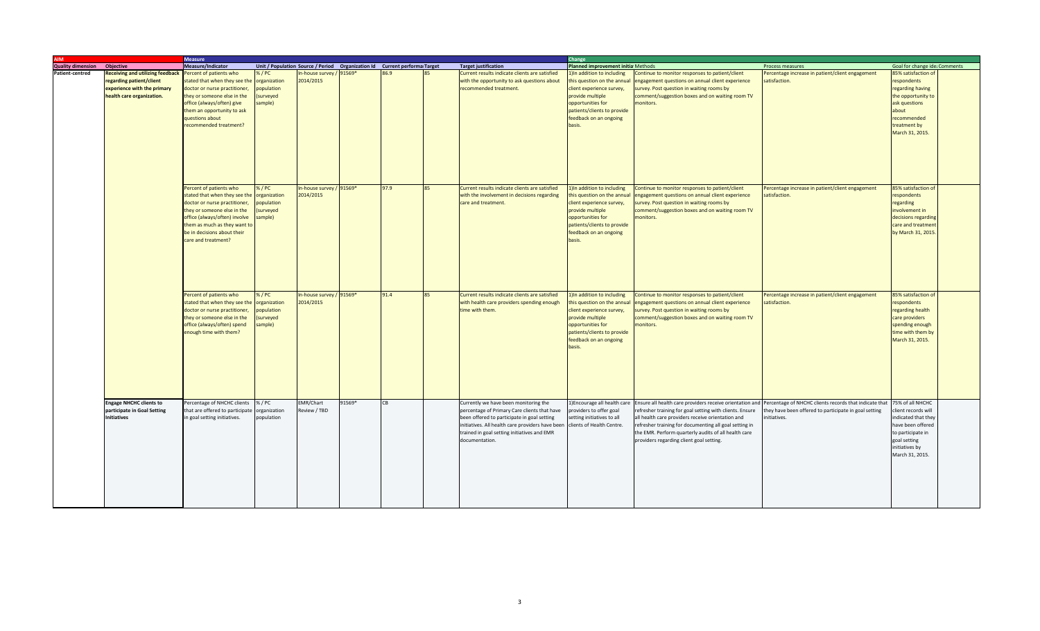| <b>MIA</b>               |                                         | <b>Measure</b>                  |              |                                                                             |        |      |                                                                            | Change                                    |                                                          |                                                        |                               |  |  |
|--------------------------|-----------------------------------------|---------------------------------|--------------|-----------------------------------------------------------------------------|--------|------|----------------------------------------------------------------------------|-------------------------------------------|----------------------------------------------------------|--------------------------------------------------------|-------------------------------|--|--|
| <b>Quality dimension</b> | Objective                               | <b>Measure/Indicator</b>        |              | Unit / Population Source / Period  Organization Id  Current performa Target |        |      | <b>Target justification</b>                                                | <b>Planned improvement initia Methods</b> |                                                          | Process measures                                       | Goal for change ide; Comments |  |  |
| <b>Patient-centred</b>   | <b>Receiving and utilizing feedback</b> | Percent of patients who         | 6/PC         | In-house survey / 91569*                                                    |        | 86.9 | Current results indicate clients are satisfied                             | 1) In addition to including               | Continue to monitor responses to patient/client          | Percentage increase in patient/client engagement       | 85% satisfaction of           |  |  |
|                          | regarding patient/client                | stated that when they see the   | organization | 2014/2015                                                                   |        |      | with the opportunity to ask questions about                                | this question on the annual               | engagement questions on annual client experience         | satisfaction.                                          | respondents                   |  |  |
|                          | experience with the primary             | doctor or nurse practitioner,   | population   |                                                                             |        |      | recommended treatment.                                                     | client experience survey,                 | survey. Post question in waiting rooms by                |                                                        | regarding having              |  |  |
|                          | health care organization.               | they or someone else in the     | surveyed     |                                                                             |        |      |                                                                            | provide multiple                          | comment/suggestion boxes and on waiting room TV          |                                                        | the opportunity to            |  |  |
|                          |                                         | office (always/often) give      | ample)       |                                                                             |        |      |                                                                            | opportunities for                         | monitors.                                                |                                                        | ask questions                 |  |  |
|                          |                                         | them an opportunity to ask      |              |                                                                             |        |      |                                                                            | patients/clients to provide               |                                                          |                                                        | about                         |  |  |
|                          |                                         | questions about                 |              |                                                                             |        |      |                                                                            | feedback on an ongoing                    |                                                          |                                                        | recommended                   |  |  |
|                          |                                         | recommended treatment?          |              |                                                                             |        |      |                                                                            | basis.                                    |                                                          |                                                        | treatment by                  |  |  |
|                          |                                         |                                 |              |                                                                             |        |      |                                                                            |                                           |                                                          |                                                        | March 31, 2015.               |  |  |
|                          |                                         |                                 |              |                                                                             |        |      |                                                                            |                                           |                                                          |                                                        |                               |  |  |
|                          |                                         |                                 |              |                                                                             |        |      |                                                                            |                                           |                                                          |                                                        |                               |  |  |
|                          |                                         |                                 |              |                                                                             |        |      |                                                                            |                                           |                                                          |                                                        |                               |  |  |
|                          |                                         |                                 |              |                                                                             |        |      |                                                                            |                                           |                                                          |                                                        |                               |  |  |
|                          |                                         |                                 |              |                                                                             |        |      |                                                                            |                                           |                                                          |                                                        |                               |  |  |
|                          |                                         |                                 |              |                                                                             |        |      |                                                                            |                                           |                                                          |                                                        |                               |  |  |
|                          |                                         |                                 |              |                                                                             |        |      |                                                                            |                                           |                                                          |                                                        |                               |  |  |
|                          |                                         | Percent of patients who         | %/PC         | In-house survey / 91569*                                                    |        | 97.9 | Current results indicate clients are satisfied                             | 1) In addition to including               | Continue to monitor responses to patient/client          | Percentage increase in patient/client engagement       | 85% satisfaction of           |  |  |
|                          |                                         | stated that when they see the   | organization | 2014/2015                                                                   |        |      | with the involvement in decisions regarding                                | this question on the annual               | engagement questions on annual client experience         | satisfaction.                                          | respondents                   |  |  |
|                          |                                         | doctor or nurse practitioner,   | population   |                                                                             |        |      | care and treatment.                                                        | client experience survey,                 | survey. Post question in waiting rooms by                |                                                        | regarding                     |  |  |
|                          |                                         | they or someone else in the     | surveyed     |                                                                             |        |      |                                                                            | provide multiple                          | comment/suggestion boxes and on waiting room TV          |                                                        | involvement in                |  |  |
|                          |                                         | office (always/often) involve   | ample)       |                                                                             |        |      |                                                                            | opportunities for                         | monitors.                                                |                                                        | decisions regarding           |  |  |
|                          |                                         | them as much as they want to    |              |                                                                             |        |      |                                                                            | patients/clients to provide               |                                                          |                                                        | care and treatmen             |  |  |
|                          |                                         | be in decisions about their     |              |                                                                             |        |      |                                                                            | feedback on an ongoing                    |                                                          |                                                        | by March 31, 2015             |  |  |
|                          |                                         | care and treatment?             |              |                                                                             |        |      |                                                                            | basis.                                    |                                                          |                                                        |                               |  |  |
|                          |                                         |                                 |              |                                                                             |        |      |                                                                            |                                           |                                                          |                                                        |                               |  |  |
|                          |                                         |                                 |              |                                                                             |        |      |                                                                            |                                           |                                                          |                                                        |                               |  |  |
|                          |                                         |                                 |              |                                                                             |        |      |                                                                            |                                           |                                                          |                                                        |                               |  |  |
|                          |                                         |                                 |              |                                                                             |        |      |                                                                            |                                           |                                                          |                                                        |                               |  |  |
|                          |                                         |                                 |              |                                                                             |        |      |                                                                            |                                           |                                                          |                                                        |                               |  |  |
|                          |                                         |                                 |              |                                                                             |        |      |                                                                            |                                           |                                                          |                                                        |                               |  |  |
|                          |                                         | Percent of patients who         | %/PC         | In-house survey / 91569*                                                    |        | 91.4 | Current results indicate clients are satisfied                             | 1) In addition to including               | Continue to monitor responses to patient/client          | Percentage increase in patient/client engagement       | 85% satisfaction of           |  |  |
|                          |                                         | stated that when they see the   | organization | 2014/2015                                                                   |        |      | with health care providers spending enough                                 | this question on the annual               | engagement questions on annual client experience         | satisfaction.                                          | respondents                   |  |  |
|                          |                                         | doctor or nurse practitioner,   | population   |                                                                             |        |      | time with them.                                                            | lient experience survey,                  | survey. Post question in waiting rooms by                |                                                        | regarding health              |  |  |
|                          |                                         | they or someone else in the     | surveyed     |                                                                             |        |      |                                                                            | provide multiple                          | comment/suggestion boxes and on waiting room TV          |                                                        | care providers                |  |  |
|                          |                                         | office (always/often) spend     | ample)       |                                                                             |        |      |                                                                            | opportunities for                         | monitors.                                                |                                                        | spending enough               |  |  |
|                          |                                         | enough time with them?          |              |                                                                             |        |      |                                                                            | patients/clients to provide               |                                                          |                                                        | time with them by             |  |  |
|                          |                                         |                                 |              |                                                                             |        |      |                                                                            | feedback on an ongoing                    |                                                          |                                                        | March 31, 2015.               |  |  |
|                          |                                         |                                 |              |                                                                             |        |      |                                                                            | basis.                                    |                                                          |                                                        |                               |  |  |
|                          |                                         |                                 |              |                                                                             |        |      |                                                                            |                                           |                                                          |                                                        |                               |  |  |
|                          |                                         |                                 |              |                                                                             |        |      |                                                                            |                                           |                                                          |                                                        |                               |  |  |
|                          |                                         |                                 |              |                                                                             |        |      |                                                                            |                                           |                                                          |                                                        |                               |  |  |
|                          |                                         |                                 |              |                                                                             |        |      |                                                                            |                                           |                                                          |                                                        |                               |  |  |
|                          |                                         |                                 |              |                                                                             |        |      |                                                                            |                                           |                                                          |                                                        |                               |  |  |
|                          |                                         |                                 |              |                                                                             |        |      |                                                                            |                                           |                                                          |                                                        |                               |  |  |
|                          |                                         |                                 |              |                                                                             |        |      |                                                                            |                                           |                                                          |                                                        |                               |  |  |
|                          | <b>Engage NHCHC clients to</b>          | Percentage of NHCHC clients     | % / PC       | <b>EMR/Chart</b>                                                            | 91569* | CB   | Currently we have been monitoring the                                      | 1) Encourage all health care              | Ensure all health care providers receive orientation and | Percentage of NHCHC clients records that indicate that | 75% of all NHCHC              |  |  |
|                          | participate in Goal Setting             | that are offered to participate | organization | Review / TBD                                                                |        |      | percentage of Primary Care clients that have                               | providers to offer goal                   | refresher training for goal setting with clients. Ensure | they have been offered to participate in goal setting  | lient records will            |  |  |
|                          | <b>Initiatives</b>                      | in goal setting initiatives.    | population   |                                                                             |        |      | been offered to participate in goal setting                                | setting initiatives to all                | all health care providers receive orientation and        | initiatives.                                           | indicated that they           |  |  |
|                          |                                         |                                 |              |                                                                             |        |      | initiatives. All health care providers have been clients of Health Centre. |                                           | refresher training for documenting all goal setting in   |                                                        | have been offered             |  |  |
|                          |                                         |                                 |              |                                                                             |        |      | trained in goal setting initiatives and EMR                                |                                           | the EMR. Perform quarterly audits of all health care     |                                                        | to participate in             |  |  |
|                          |                                         |                                 |              |                                                                             |        |      | documentation.                                                             |                                           | providers regarding client goal setting.                 |                                                        | goal setting                  |  |  |
|                          |                                         |                                 |              |                                                                             |        |      |                                                                            |                                           |                                                          |                                                        | initiatives by                |  |  |
|                          |                                         |                                 |              |                                                                             |        |      |                                                                            |                                           |                                                          |                                                        | March 31, 2015.               |  |  |
|                          |                                         |                                 |              |                                                                             |        |      |                                                                            |                                           |                                                          |                                                        |                               |  |  |
|                          |                                         |                                 |              |                                                                             |        |      |                                                                            |                                           |                                                          |                                                        |                               |  |  |
|                          |                                         |                                 |              |                                                                             |        |      |                                                                            |                                           |                                                          |                                                        |                               |  |  |
|                          |                                         |                                 |              |                                                                             |        |      |                                                                            |                                           |                                                          |                                                        |                               |  |  |
|                          |                                         |                                 |              |                                                                             |        |      |                                                                            |                                           |                                                          |                                                        |                               |  |  |
|                          |                                         |                                 |              |                                                                             |        |      |                                                                            |                                           |                                                          |                                                        |                               |  |  |
|                          |                                         |                                 |              |                                                                             |        |      |                                                                            |                                           |                                                          |                                                        |                               |  |  |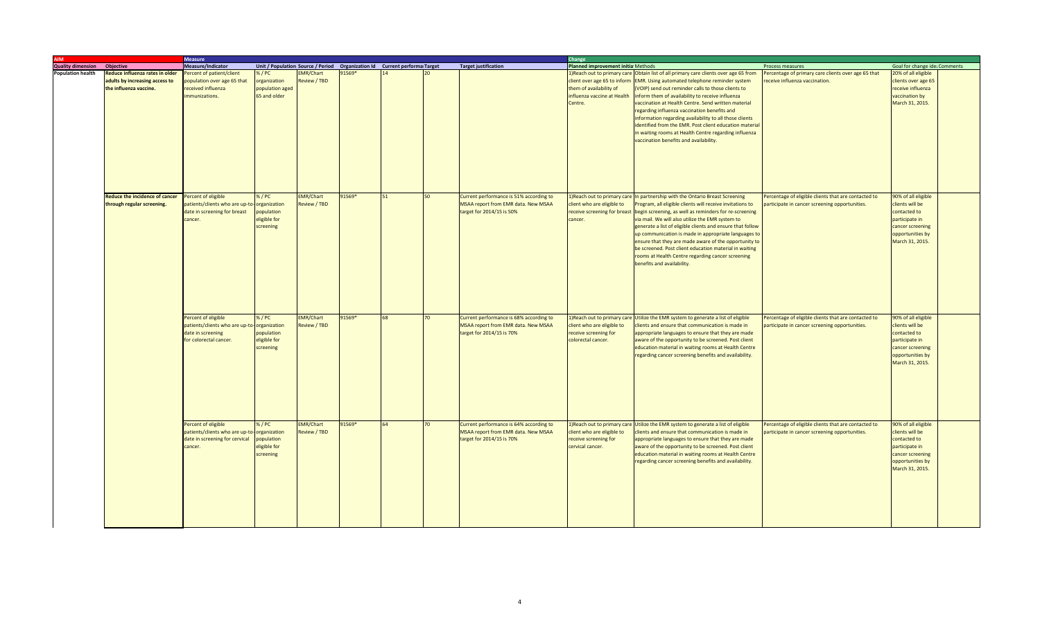|                                    |                                       | <b>Measure</b>                  |                 |                  |                                                                             |    |                 |                                         | Change                             |                                                                                     |                                                      |                               |  |
|------------------------------------|---------------------------------------|---------------------------------|-----------------|------------------|-----------------------------------------------------------------------------|----|-----------------|-----------------------------------------|------------------------------------|-------------------------------------------------------------------------------------|------------------------------------------------------|-------------------------------|--|
| <b>Quality dimension Objective</b> |                                       | Measure/Indicator               |                 |                  | Unit / Population Source / Period  Organization Id  Current performa Target |    |                 | <b>Target justification</b>             | Planned improvement initia Methods |                                                                                     | Process measures                                     | Goal for change ide: Comments |  |
| <b>Population health</b>           | Reduce influenza rates in older       | Percent of patient/client       | 5/PC            | <b>EMR/Chart</b> | 1569*                                                                       |    |                 |                                         |                                    | Neach out to primary care Obtain list of all primary care clients over age 65 from  | ercentage of primary care clients over age 65 that   | 20% of all eligible           |  |
|                                    | adults by increasing access to        | population over age 65 that     | organization    | Review / TBD     |                                                                             |    |                 |                                         |                                    | client over age 65 to inform EMR. Using automated telephone reminder system         | eceive influenza vaccination.                        | clients over age 65           |  |
|                                    | the influenza vaccine.                | received influenza              | population aged |                  |                                                                             |    |                 |                                         | them of availability of            | VOIP) send out reminder calls to those clients to                                   |                                                      | receive influenza             |  |
|                                    |                                       | mmunizations.                   | 65 and older    |                  |                                                                             |    |                 |                                         | nfluenza vaccine at Health         | inform them of availability to receive influenza                                    |                                                      | vaccination by                |  |
|                                    |                                       |                                 |                 |                  |                                                                             |    |                 |                                         |                                    |                                                                                     |                                                      |                               |  |
|                                    |                                       |                                 |                 |                  |                                                                             |    |                 |                                         | Centre.                            | vaccination at Health Centre. Send written material                                 |                                                      | March 31, 2015.               |  |
|                                    |                                       |                                 |                 |                  |                                                                             |    |                 |                                         |                                    | regarding influenza vaccination benefits and                                        |                                                      |                               |  |
|                                    |                                       |                                 |                 |                  |                                                                             |    |                 |                                         |                                    | nformation regarding availability to all those clients                              |                                                      |                               |  |
|                                    |                                       |                                 |                 |                  |                                                                             |    |                 |                                         |                                    | identified from the EMR. Post client education material                             |                                                      |                               |  |
|                                    |                                       |                                 |                 |                  |                                                                             |    |                 |                                         |                                    | in waiting rooms at Health Centre regarding influenza                               |                                                      |                               |  |
|                                    |                                       |                                 |                 |                  |                                                                             |    |                 |                                         |                                    | vaccination benefits and availability.                                              |                                                      |                               |  |
|                                    |                                       |                                 |                 |                  |                                                                             |    |                 |                                         |                                    |                                                                                     |                                                      |                               |  |
|                                    |                                       |                                 |                 |                  |                                                                             |    |                 |                                         |                                    |                                                                                     |                                                      |                               |  |
|                                    |                                       |                                 |                 |                  |                                                                             |    |                 |                                         |                                    |                                                                                     |                                                      |                               |  |
|                                    |                                       |                                 |                 |                  |                                                                             |    |                 |                                         |                                    |                                                                                     |                                                      |                               |  |
|                                    |                                       |                                 |                 |                  |                                                                             |    |                 |                                         |                                    |                                                                                     |                                                      |                               |  |
|                                    |                                       |                                 |                 |                  |                                                                             |    |                 |                                         |                                    |                                                                                     |                                                      |                               |  |
|                                    |                                       |                                 |                 |                  |                                                                             |    |                 |                                         |                                    |                                                                                     |                                                      |                               |  |
|                                    | <b>Reduce the incidence of cancer</b> | Percent of eligible             | %/PC            | <b>EMR/Chart</b> | 91569*                                                                      | 51 | 50              | Current performance is 51% according to |                                    | 1) Reach out to primary care In partnership with the Ontario Breast Screening       | Percentage of eligible clients that are contacted to | 90% of all eligible           |  |
|                                    | through regular screening.            | patients/clients who are up-to- | organization    | Review / TBD     |                                                                             |    |                 | MSAA report from EMR data. New MSAA     | client who are eligible to         | Program, all eligible clients will receive invitations to                           | participate in cancer screening opportunities.       | clients will be               |  |
|                                    |                                       |                                 |                 |                  |                                                                             |    |                 |                                         |                                    |                                                                                     |                                                      |                               |  |
|                                    |                                       | date in screening for breast    | population      |                  |                                                                             |    |                 | target for 2014/15 is 50%               |                                    | receive screening for breast begin screening, as well as reminders for re-screening |                                                      | contacted to                  |  |
|                                    |                                       | cancer.                         | eligible for    |                  |                                                                             |    |                 |                                         | cancer.                            | via mail. We will also utilize the EMR system to                                    |                                                      | participate in                |  |
|                                    |                                       |                                 | screening       |                  |                                                                             |    |                 |                                         |                                    | generate a list of eligible clients and ensure that follow                          |                                                      | cancer screening              |  |
|                                    |                                       |                                 |                 |                  |                                                                             |    |                 |                                         |                                    | up communication is made in appropriate languages to                                |                                                      | opportunities by              |  |
|                                    |                                       |                                 |                 |                  |                                                                             |    |                 |                                         |                                    | ensure that they are made aware of the opportunity to                               |                                                      | March 31, 2015.               |  |
|                                    |                                       |                                 |                 |                  |                                                                             |    |                 |                                         |                                    | be screened. Post client education material in waiting                              |                                                      |                               |  |
|                                    |                                       |                                 |                 |                  |                                                                             |    |                 |                                         |                                    | ooms at Health Centre regarding cancer screening                                    |                                                      |                               |  |
|                                    |                                       |                                 |                 |                  |                                                                             |    |                 |                                         |                                    | benefits and availability.                                                          |                                                      |                               |  |
|                                    |                                       |                                 |                 |                  |                                                                             |    |                 |                                         |                                    |                                                                                     |                                                      |                               |  |
|                                    |                                       |                                 |                 |                  |                                                                             |    |                 |                                         |                                    |                                                                                     |                                                      |                               |  |
|                                    |                                       |                                 |                 |                  |                                                                             |    |                 |                                         |                                    |                                                                                     |                                                      |                               |  |
|                                    |                                       |                                 |                 |                  |                                                                             |    |                 |                                         |                                    |                                                                                     |                                                      |                               |  |
|                                    |                                       |                                 |                 |                  |                                                                             |    |                 |                                         |                                    |                                                                                     |                                                      |                               |  |
|                                    |                                       |                                 |                 |                  |                                                                             |    |                 |                                         |                                    |                                                                                     |                                                      |                               |  |
|                                    |                                       |                                 |                 |                  |                                                                             |    |                 |                                         |                                    |                                                                                     |                                                      |                               |  |
|                                    |                                       | Percent of eligible             | %/PC            | <b>EMR/Chart</b> | 91569*                                                                      | 68 | 70              | Current performance is 68% according to |                                    | 1) Reach out to primary care Utilize the EMR system to generate a list of eligible  | Percentage of eligible clients that are contacted to | 90% of all eligible           |  |
|                                    |                                       | patients/clients who are up-to  | organization    | Review / TBD     |                                                                             |    |                 | MSAA report from EMR data. New MSAA     | client who are eligible to         | lients and ensure that communication is made in                                     | articipate in cancer screening opportunities.        | clients will be               |  |
|                                    |                                       | date in screening               |                 |                  |                                                                             |    |                 | target for 2014/15 is 70%               |                                    |                                                                                     |                                                      | contacted to                  |  |
|                                    |                                       |                                 | population      |                  |                                                                             |    |                 |                                         | receive screening for              | appropriate languages to ensure that they are made                                  |                                                      |                               |  |
|                                    |                                       | for colorectal cancer.          | eligible for    |                  |                                                                             |    |                 |                                         | colorectal cancer.                 | aware of the opportunity to be screened. Post client                                |                                                      | participate in                |  |
|                                    |                                       |                                 | screening       |                  |                                                                             |    |                 |                                         |                                    | education material in waiting rooms at Health Centre                                |                                                      | cancer screening              |  |
|                                    |                                       |                                 |                 |                  |                                                                             |    |                 |                                         |                                    | regarding cancer screening benefits and availability.                               |                                                      | opportunities by              |  |
|                                    |                                       |                                 |                 |                  |                                                                             |    |                 |                                         |                                    |                                                                                     |                                                      | March 31, 2015.               |  |
|                                    |                                       |                                 |                 |                  |                                                                             |    |                 |                                         |                                    |                                                                                     |                                                      |                               |  |
|                                    |                                       |                                 |                 |                  |                                                                             |    |                 |                                         |                                    |                                                                                     |                                                      |                               |  |
|                                    |                                       |                                 |                 |                  |                                                                             |    |                 |                                         |                                    |                                                                                     |                                                      |                               |  |
|                                    |                                       |                                 |                 |                  |                                                                             |    |                 |                                         |                                    |                                                                                     |                                                      |                               |  |
|                                    |                                       |                                 |                 |                  |                                                                             |    |                 |                                         |                                    |                                                                                     |                                                      |                               |  |
|                                    |                                       |                                 |                 |                  |                                                                             |    |                 |                                         |                                    |                                                                                     |                                                      |                               |  |
|                                    |                                       |                                 |                 |                  |                                                                             |    |                 |                                         |                                    |                                                                                     |                                                      |                               |  |
|                                    |                                       |                                 |                 |                  |                                                                             |    |                 |                                         |                                    |                                                                                     |                                                      |                               |  |
|                                    |                                       | Percent of eligible             | 6/PC            | <b>EMR/Chart</b> | 91569*                                                                      | 64 | $\overline{20}$ | Current performance is 64% according to |                                    | 1) Reach out to primary care Utilize the EMR system to generate a list of eligible  | ercentage of eligible clients that are contacted to  | 90% of all eligible           |  |
|                                    |                                       | patients/clients who are up-to- | organization    | Review / TBD     |                                                                             |    |                 | MSAA report from EMR data. New MSAA     | client who are eligible to         | clients and ensure that communication is made in                                    | participate in cancer screening opportunities.       | clients will be               |  |
|                                    |                                       | date in screening for cervical  | population      |                  |                                                                             |    |                 | target for 2014/15 is 70%               | receive screening for              | appropriate languages to ensure that they are made                                  |                                                      | contacted to                  |  |
|                                    |                                       |                                 |                 |                  |                                                                             |    |                 |                                         | cervical cancer.                   |                                                                                     |                                                      |                               |  |
|                                    |                                       | cancer.                         | eligible for    |                  |                                                                             |    |                 |                                         |                                    | aware of the opportunity to be screened. Post client                                |                                                      | participate in                |  |
|                                    |                                       |                                 | screening       |                  |                                                                             |    |                 |                                         |                                    | education material in waiting rooms at Health Centre                                |                                                      | cancer screening              |  |
|                                    |                                       |                                 |                 |                  |                                                                             |    |                 |                                         |                                    | regarding cancer screening benefits and availability.                               |                                                      | opportunities by              |  |
|                                    |                                       |                                 |                 |                  |                                                                             |    |                 |                                         |                                    |                                                                                     |                                                      | March 31, 2015.               |  |
|                                    |                                       |                                 |                 |                  |                                                                             |    |                 |                                         |                                    |                                                                                     |                                                      |                               |  |
|                                    |                                       |                                 |                 |                  |                                                                             |    |                 |                                         |                                    |                                                                                     |                                                      |                               |  |
|                                    |                                       |                                 |                 |                  |                                                                             |    |                 |                                         |                                    |                                                                                     |                                                      |                               |  |
|                                    |                                       |                                 |                 |                  |                                                                             |    |                 |                                         |                                    |                                                                                     |                                                      |                               |  |
|                                    |                                       |                                 |                 |                  |                                                                             |    |                 |                                         |                                    |                                                                                     |                                                      |                               |  |
|                                    |                                       |                                 |                 |                  |                                                                             |    |                 |                                         |                                    |                                                                                     |                                                      |                               |  |
|                                    |                                       |                                 |                 |                  |                                                                             |    |                 |                                         |                                    |                                                                                     |                                                      |                               |  |
|                                    |                                       |                                 |                 |                  |                                                                             |    |                 |                                         |                                    |                                                                                     |                                                      |                               |  |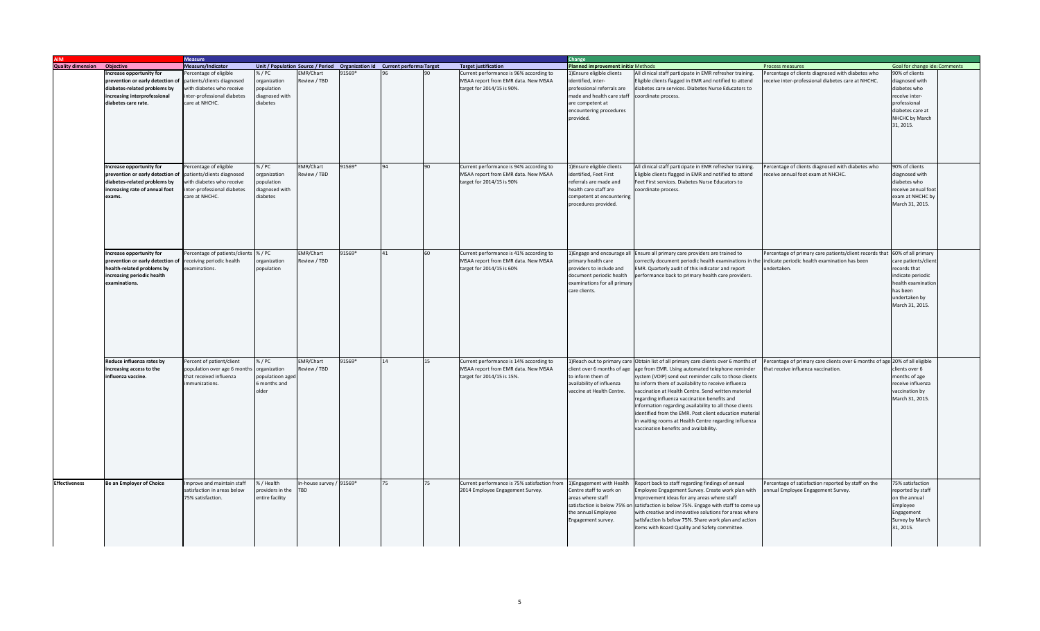|                                    |                                  | <b>Measure</b>                       |                  |                        |        |                                                                             |                                              | Change                             |                                                                                       |                                                                             |                               |
|------------------------------------|----------------------------------|--------------------------------------|------------------|------------------------|--------|-----------------------------------------------------------------------------|----------------------------------------------|------------------------------------|---------------------------------------------------------------------------------------|-----------------------------------------------------------------------------|-------------------------------|
| <b>Quality dimension Objective</b> |                                  | Measure/Indicator                    |                  |                        |        | Unit / Population Source / Period  Organization Id  Current performa Target | <b>Target justification</b>                  | Planned improvement initia Methods |                                                                                       | Process measures                                                            | Goal for change ide; Comments |
|                                    | ncrease opportunity for          | ercentage of eligible                | % / PC           | EMR/Chart              | 91569* |                                                                             | Current performance is 96% according to      | 1) Ensure eligible clients         | All clinical staff participate in EMR refresher training.                             | Percentage of clients diagnosed with diabetes who                           | 90% of clients                |
|                                    | prevention or early detection of | patients/clients diagnosed           | organization     | Review / TBD           |        |                                                                             | MSAA report from EMR data. New MSAA          | identified, inter-                 | ligible clients flagged in EMR and notified to attend                                 | eceive inter-professional diabetes care at NHCHC.                           | diagnosed with                |
|                                    | diabetes-related problems by     | with diabetes who receive            | population       |                        |        |                                                                             | target for 2014/15 is 90%.                   | professional referrals are         | liabetes care services. Diabetes Nurse Educators to                                   |                                                                             | diabetes who                  |
|                                    | increasing interprofessional     | inter-professional diabetes          | diagnosed with   |                        |        |                                                                             |                                              | made and health care staff         | coordinate process.                                                                   |                                                                             | receive inter-                |
|                                    | diabetes care rate.              | care at NHCHC.                       | diabetes         |                        |        |                                                                             |                                              | are competent at                   |                                                                                       |                                                                             | professional                  |
|                                    |                                  |                                      |                  |                        |        |                                                                             |                                              | encountering procedures            |                                                                                       |                                                                             | diabetes care at              |
|                                    |                                  |                                      |                  |                        |        |                                                                             |                                              | provided.                          |                                                                                       |                                                                             | NHCHC by March                |
|                                    |                                  |                                      |                  |                        |        |                                                                             |                                              |                                    |                                                                                       |                                                                             | 31, 2015.                     |
|                                    |                                  |                                      |                  |                        |        |                                                                             |                                              |                                    |                                                                                       |                                                                             |                               |
|                                    |                                  |                                      |                  |                        |        |                                                                             |                                              |                                    |                                                                                       |                                                                             |                               |
|                                    |                                  |                                      |                  |                        |        |                                                                             |                                              |                                    |                                                                                       |                                                                             |                               |
|                                    |                                  |                                      |                  |                        |        |                                                                             |                                              |                                    |                                                                                       |                                                                             |                               |
|                                    |                                  |                                      |                  |                        |        |                                                                             |                                              |                                    |                                                                                       |                                                                             |                               |
|                                    | Increase opportunity for         | ercentage of eligible                | %/PC             | <b>EMR/Chart</b>       | 91569* | 90                                                                          | Current performance is 94% according to      | 1)Ensure eligible clients          | All clinical staff participate in EMR refresher training.                             | Percentage of clients diagnosed with diabetes who                           | 90% of clients                |
|                                    | prevention or early detection of | patients/clients diagnosed           | organization     | eview / TBD            |        |                                                                             | MSAA report from EMR data. New MSAA          | identified, Feet First             | Eligible clients flagged in EMR and notified to attend                                | receive annual foot exam at NHCHC.                                          | diagnosed with                |
|                                    | diabetes-related problems by     | vith diabetes who receive            | population       |                        |        |                                                                             | target for 2014/15 is 90%                    | referrals are made and             | Feet First services. Diabetes Nurse Educators to                                      |                                                                             | diabetes who                  |
|                                    | increasing rate of annual foot   | inter-professional diabetes          | diagnosed with   |                        |        |                                                                             |                                              | health care staff are              | coordinate process.                                                                   |                                                                             | receive annual foo            |
|                                    | exams.                           | care at NHCHC.                       | diabetes         |                        |        |                                                                             |                                              | competent at encountering          |                                                                                       |                                                                             | exam at NHCHC by              |
|                                    |                                  |                                      |                  |                        |        |                                                                             |                                              | procedures provided.               |                                                                                       |                                                                             | March 31, 2015.               |
|                                    |                                  |                                      |                  |                        |        |                                                                             |                                              |                                    |                                                                                       |                                                                             |                               |
|                                    |                                  |                                      |                  |                        |        |                                                                             |                                              |                                    |                                                                                       |                                                                             |                               |
|                                    |                                  |                                      |                  |                        |        |                                                                             |                                              |                                    |                                                                                       |                                                                             |                               |
|                                    |                                  |                                      |                  |                        |        |                                                                             |                                              |                                    |                                                                                       |                                                                             |                               |
|                                    |                                  |                                      |                  |                        |        |                                                                             |                                              |                                    |                                                                                       |                                                                             |                               |
|                                    |                                  |                                      |                  |                        |        |                                                                             |                                              |                                    |                                                                                       |                                                                             |                               |
|                                    | Increase opportunity for         | ercentage of patients/clients % / PC |                  | EMR/Chart              | 91569* | 41<br>60                                                                    | Current performance is 41% according to      |                                    | 1) Engage and encourage all Ensure all primary care providers are trained to          | Percentage of primary care patients/client records that 60% of all primary  |                               |
|                                    | prevention or early detection of | ceiving periodic health              | organization     | Review / TBD           |        |                                                                             | MSAA report from EMR data. New MSAA          | primary health care                | prrectly document periodic health examinations in the                                 | indicate periodic health examination has been                               | care patients/clier           |
|                                    | health-related problems by       | xaminations.                         | population       |                        |        |                                                                             | target for 2014/15 is 60%                    | providers to include and           | MR. Quarterly audit of this indicator and report                                      | undertaken.                                                                 | records that                  |
|                                    | increasing periodic health       |                                      |                  |                        |        |                                                                             |                                              | document periodic health           | erformance back to primary health care providers.                                     |                                                                             | indicate periodic             |
|                                    | examinations.                    |                                      |                  |                        |        |                                                                             |                                              | examinations for all primary       |                                                                                       |                                                                             | health examinatior            |
|                                    |                                  |                                      |                  |                        |        |                                                                             |                                              | care clients.                      |                                                                                       |                                                                             | has been                      |
|                                    |                                  |                                      |                  |                        |        |                                                                             |                                              |                                    |                                                                                       |                                                                             | undertaken by                 |
|                                    |                                  |                                      |                  |                        |        |                                                                             |                                              |                                    |                                                                                       |                                                                             | March 31, 2015.               |
|                                    |                                  |                                      |                  |                        |        |                                                                             |                                              |                                    |                                                                                       |                                                                             |                               |
|                                    |                                  |                                      |                  |                        |        |                                                                             |                                              |                                    |                                                                                       |                                                                             |                               |
|                                    |                                  |                                      |                  |                        |        |                                                                             |                                              |                                    |                                                                                       |                                                                             |                               |
|                                    |                                  |                                      |                  |                        |        |                                                                             |                                              |                                    |                                                                                       |                                                                             |                               |
|                                    |                                  |                                      |                  |                        |        |                                                                             |                                              |                                    |                                                                                       |                                                                             |                               |
|                                    |                                  |                                      |                  |                        |        |                                                                             |                                              |                                    |                                                                                       |                                                                             |                               |
|                                    |                                  |                                      |                  |                        |        |                                                                             |                                              |                                    |                                                                                       |                                                                             |                               |
|                                    | Reduce influenza rates by        | Percent of patient/client            | %/PC             | EMR/Chart              | 91569* | 15<br>14                                                                    | Current performance is 14% according to      |                                    | 1) Reach out to primary care Obtain list of all primary care clients over 6 months of | Percentage of primary care clients over 6 months of age 20% of all eligible |                               |
|                                    | increasing access to the         | population over age 6 months         | organization     | Review / TBD           |        |                                                                             | MSAA report from EMR data. New MSAA          | client over 6 months of age        | age from EMR. Using automated telephone reminder                                      | that receive influenza vaccination.                                         | clients over 6                |
|                                    | influenza vaccine.               | that received influenza              | populatioon aged |                        |        |                                                                             | target for 2014/15 is 15%.                   | to inform them of                  | ystem (VOIP) send out reminder calls to those clients                                 |                                                                             | months of age                 |
|                                    |                                  | munizations.                         | months and       |                        |        |                                                                             |                                              | availability of influenza          | to inform them of availability to receive influenza                                   |                                                                             | eceive influenza              |
|                                    |                                  |                                      | older            |                        |        |                                                                             |                                              | vaccine at Health Centre.          | vaccination at Health Centre. Send written material                                   |                                                                             | vaccination by                |
|                                    |                                  |                                      |                  |                        |        |                                                                             |                                              |                                    | regarding influenza vaccination benefits and                                          |                                                                             | March 31, 2015.               |
|                                    |                                  |                                      |                  |                        |        |                                                                             |                                              |                                    | information regarding availability to all those clients                               |                                                                             |                               |
|                                    |                                  |                                      |                  |                        |        |                                                                             |                                              |                                    | dentified from the EMR. Post client education materia                                 |                                                                             |                               |
|                                    |                                  |                                      |                  |                        |        |                                                                             |                                              |                                    | n waiting rooms at Health Centre regarding influenza                                  |                                                                             |                               |
|                                    |                                  |                                      |                  |                        |        |                                                                             |                                              |                                    | vaccination benefits and availability.                                                |                                                                             |                               |
|                                    |                                  |                                      |                  |                        |        |                                                                             |                                              |                                    |                                                                                       |                                                                             |                               |
|                                    |                                  |                                      |                  |                        |        |                                                                             |                                              |                                    |                                                                                       |                                                                             |                               |
|                                    |                                  |                                      |                  |                        |        |                                                                             |                                              |                                    |                                                                                       |                                                                             |                               |
|                                    |                                  |                                      |                  |                        |        |                                                                             |                                              |                                    |                                                                                       |                                                                             |                               |
|                                    |                                  |                                      |                  |                        |        |                                                                             |                                              |                                    |                                                                                       |                                                                             |                               |
|                                    |                                  |                                      |                  |                        |        |                                                                             |                                              |                                    |                                                                                       |                                                                             |                               |
|                                    |                                  |                                      |                  |                        |        |                                                                             |                                              |                                    |                                                                                       |                                                                             |                               |
| <b>Effectiveness</b>               | Be an Employer of Choice         | mprove and maintain staff            | % / Health       | -house survey / 91569* |        | 75                                                                          | Current performance is 75% satisfaction from | 1) Engagement with Health          | Report back to staff regarding findings of annual                                     | Percentage of satisfaction reported by staff on the                         | 75% satisfaction              |
|                                    |                                  | satisfaction in areas below          | providers in the | <b>BD</b>              |        |                                                                             | 2014 Employee Engagement Survey.             | Centre staff to work on            | mployee Engagement Survey. Create work plan with                                      | annual Employee Engagement Survey.                                          | reported by staff             |
|                                    |                                  | 75% satisfaction.                    | entire facility  |                        |        |                                                                             |                                              | areas where staff                  | improvement ideas for any areas where staff                                           |                                                                             | on the annual                 |
|                                    |                                  |                                      |                  |                        |        |                                                                             |                                              |                                    | satisfaction is below 75% on satisfaction is below 75%. Engage with staff to come up  |                                                                             | Employee                      |
|                                    |                                  |                                      |                  |                        |        |                                                                             |                                              | the annual Employee                | with creative and innovative solutions for areas where                                |                                                                             | Engagement                    |
|                                    |                                  |                                      |                  |                        |        |                                                                             |                                              | Engagement survey.                 | satisfaction is below 75%. Share work plan and action                                 |                                                                             | Survey by March               |
|                                    |                                  |                                      |                  |                        |        |                                                                             |                                              |                                    |                                                                                       |                                                                             | 31, 2015.                     |
|                                    |                                  |                                      |                  |                        |        |                                                                             |                                              |                                    | items with Board Quality and Safety committee.                                        |                                                                             |                               |
|                                    |                                  |                                      |                  |                        |        |                                                                             |                                              |                                    |                                                                                       |                                                                             |                               |
|                                    |                                  |                                      |                  |                        |        |                                                                             |                                              |                                    |                                                                                       |                                                                             |                               |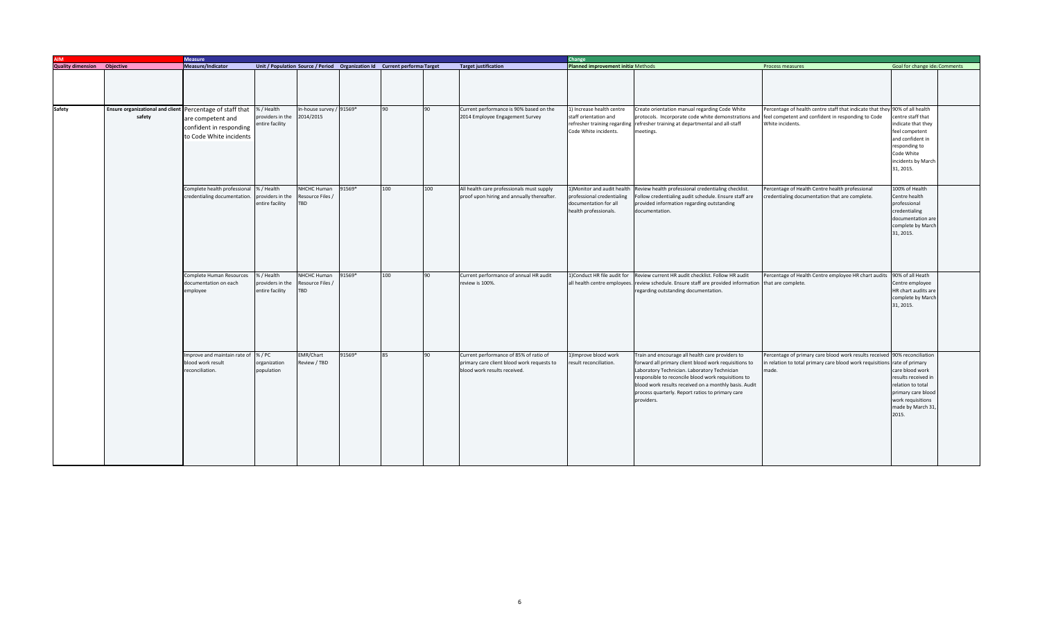| <b>AIM</b>                         |                                                   | <b>Measure</b>                                                                                      |                                                   |                                       |                                                                             |     |     |                                                                                                                      |                                                                                                            | <b>Change</b>                                                                                                                                                                                                                                                                                                                               |                                                                                                                                                              |                                                                                                                                               |  |  |  |
|------------------------------------|---------------------------------------------------|-----------------------------------------------------------------------------------------------------|---------------------------------------------------|---------------------------------------|-----------------------------------------------------------------------------|-----|-----|----------------------------------------------------------------------------------------------------------------------|------------------------------------------------------------------------------------------------------------|---------------------------------------------------------------------------------------------------------------------------------------------------------------------------------------------------------------------------------------------------------------------------------------------------------------------------------------------|--------------------------------------------------------------------------------------------------------------------------------------------------------------|-----------------------------------------------------------------------------------------------------------------------------------------------|--|--|--|
| <b>Quality dimension</b> Objective |                                                   | Measure/Indicator                                                                                   |                                                   |                                       | Unit / Population Source / Period  Organization Id  Current performa Target |     |     | <b>Target justification</b>                                                                                          | Planned improvement initia Methods                                                                         |                                                                                                                                                                                                                                                                                                                                             | Process measures                                                                                                                                             | Goal for change ide: Comments                                                                                                                 |  |  |  |
|                                    |                                                   |                                                                                                     |                                                   |                                       |                                                                             |     |     |                                                                                                                      |                                                                                                            |                                                                                                                                                                                                                                                                                                                                             |                                                                                                                                                              |                                                                                                                                               |  |  |  |
| <b>Safety</b>                      | <b>Ensure organizational and client</b><br>safety | Percentage of staff that<br>are competent and<br>confident in responding<br>to Code White incidents | %/Health<br>providers in the<br>ntire facility    | In-house survey / 91569*<br>2014/2015 |                                                                             | 90  | 90  | Current performance is 90% based on the<br>2014 Employee Engagement Survey                                           | 1) Increase health centre<br>staff orientation and<br>Code White incidents.                                | Create orientation manual regarding Code White<br>protocols. Incorporate code white demonstrations and<br>refresher training regarding refresher training at departmental and all-staff<br>meetings.                                                                                                                                        | Percentage of health centre staff that indicate that they 90% of all health<br>feel competent and confident in responding to Code<br>White incidents.        | entre staff that<br>ndicate that they<br>feel competent<br>and confident in<br>responding to<br>Code White<br>incidents by March<br>31, 2015. |  |  |  |
|                                    |                                                   | Complete health professional<br>credentialing documentation.                                        | 6 / Health<br>roviders in the<br>entire facility  | NHCHC Human<br>Resource Files<br>TBD  | 91569*                                                                      | 100 | 100 | All health care professionals must supply<br>proof upon hiring and annually thereafter.                              | 1)Monitor and audit health<br>professional credentialing<br>documentation for all<br>health professionals. | Review health professional credentialing checklist.<br>Follow credentialing audit schedule. Ensure staff are<br>provided information regarding outstanding<br>documentation.                                                                                                                                                                | Percentage of Health Centre health professional<br>credentialing documentation that are complete.                                                            | 100% of Health<br>Centre health<br>professional<br>credentialing<br>documentation are<br>complete by March<br>31, 2015.                       |  |  |  |
|                                    |                                                   | Complete Human Resources<br>documentation on each<br>employee                                       | 6 / Health<br>providers in the<br>entire facility | NHCHC Human<br>Resource Files<br>TBD  | 91569*                                                                      | 100 | 90  | Current performance of annual HR audit<br>review is 100%.                                                            | 1)Conduct HR file audit for<br>all health centre employees                                                 | Review current HR audit checklist. Follow HR audit<br>review schedule. Ensure staff are provided information that are complete.<br>regarding outstanding documentation.                                                                                                                                                                     | Percentage of Health Centre employee HR chart audits 90% of all Heath                                                                                        | Centre employee<br>HR chart audits are<br>complete by March<br>31, 2015.                                                                      |  |  |  |
|                                    |                                                   | Improve and maintain rate of %/PC<br>blood work result<br>reconciliation.                           | organization<br>population                        | EMR/Chart<br>Review / TBD             | 91569*                                                                      | 85  | 90  | Current performance of 85% of ratio of<br>primary care client blood work requests to<br>blood work results received. | 1) Improve blood work<br>result reconciliation.                                                            | Train and encourage all health care providers to<br>forward all primary client blood work requisitions to<br>Laboratory Technician. Laboratory Technician<br>responsible to reconcile blood work requisitions to<br>blood work results received on a monthly basis. Audit<br>process quarterly. Report ratios to primary care<br>providers. | Percentage of primary care blood work results received 90% reconciliation<br>relation to total primary care blood work requisitions rate of primary<br>made. | care blood work<br>results received in<br>relation to total<br>primary care blood<br>work requisitions<br>made by March 31<br>2015.           |  |  |  |